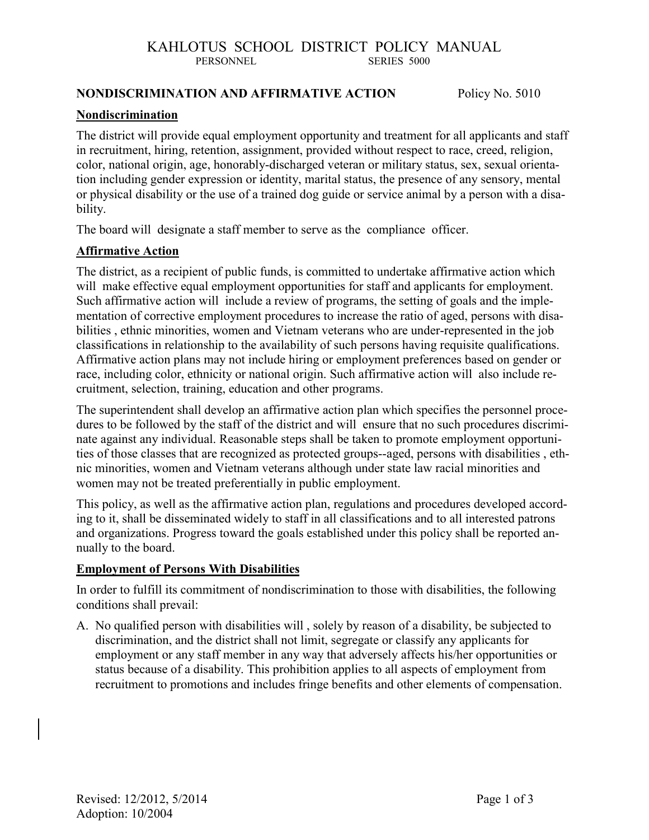#### **NONDISCRIMINATION AND AFFIRMATIVE ACTION** Policy No. 5010

#### **Nondiscrimination**

The district will provide equal employment opportunity and treatment for all applicants and staff in recruitment, hiring, retention, assignment, provided without respect to race, creed, religion, color, national origin, age, honorably-discharged veteran or military status, sex, sexual orientation including gender expression or identity, marital status, the presence of any sensory, mental or physical disability or the use of a trained dog guide or service animal by a person with a disability.

The board will designate a staff member to serve as the compliance officer.

#### **Affirmative Action**

The district, as a recipient of public funds, is committed to undertake affirmative action which will make effective equal employment opportunities for staff and applicants for employment. Such affirmative action will include a review of programs, the setting of goals and the implementation of corrective employment procedures to increase the ratio of aged, persons with disabilities , ethnic minorities, women and Vietnam veterans who are under-represented in the job classifications in relationship to the availability of such persons having requisite qualifications. Affirmative action plans may not include hiring or employment preferences based on gender or race, including color, ethnicity or national origin. Such affirmative action will also include recruitment, selection, training, education and other programs.

The superintendent shall develop an affirmative action plan which specifies the personnel procedures to be followed by the staff of the district and will ensure that no such procedures discriminate against any individual. Reasonable steps shall be taken to promote employment opportunities of those classes that are recognized as protected groups--aged, persons with disabilities , ethnic minorities, women and Vietnam veterans although under state law racial minorities and women may not be treated preferentially in public employment.

This policy, as well as the affirmative action plan, regulations and procedures developed according to it, shall be disseminated widely to staff in all classifications and to all interested patrons and organizations. Progress toward the goals established under this policy shall be reported annually to the board.

#### **Employment of Persons With Disabilities**

In order to fulfill its commitment of nondiscrimination to those with disabilities, the following conditions shall prevail:

A. No qualified person with disabilities will , solely by reason of a disability, be subjected to discrimination, and the district shall not limit, segregate or classify any applicants for employment or any staff member in any way that adversely affects his/her opportunities or status because of a disability. This prohibition applies to all aspects of employment from recruitment to promotions and includes fringe benefits and other elements of compensation.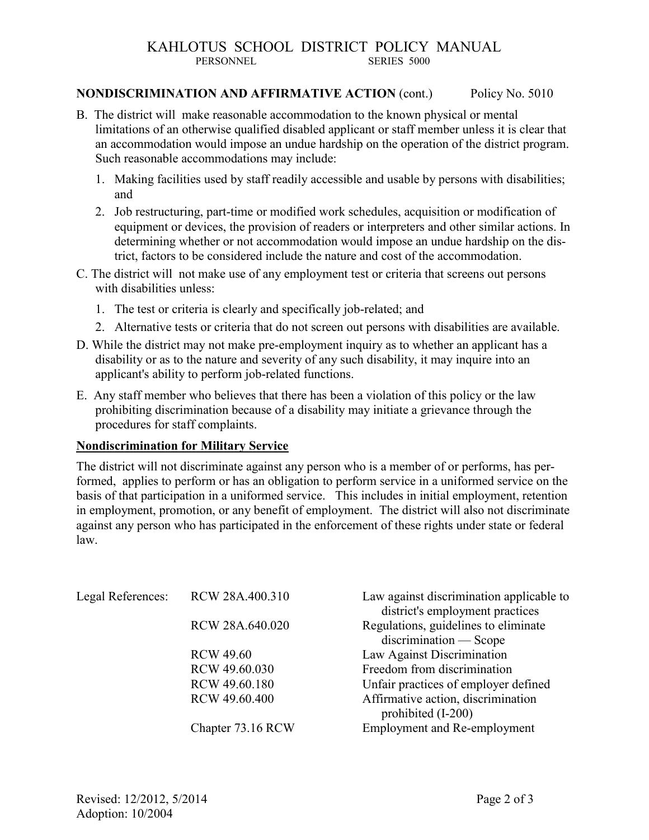#### **NONDISCRIMINATION AND AFFIRMATIVE ACTION** (cont.) Policy No. 5010

- B. The district will make reasonable accommodation to the known physical or mental limitations of an otherwise qualified disabled applicant or staff member unless it is clear that an accommodation would impose an undue hardship on the operation of the district program. Such reasonable accommodations may include:
	- 1. Making facilities used by staff readily accessible and usable by persons with disabilities; and
	- 2. Job restructuring, part-time or modified work schedules, acquisition or modification of equipment or devices, the provision of readers or interpreters and other similar actions. In determining whether or not accommodation would impose an undue hardship on the district, factors to be considered include the nature and cost of the accommodation.
- C. The district will not make use of any employment test or criteria that screens out persons with disabilities unless:
	- 1. The test or criteria is clearly and specifically job-related; and
	- 2. Alternative tests or criteria that do not screen out persons with disabilities are available.
- D. While the district may not make pre-employment inquiry as to whether an applicant has a disability or as to the nature and severity of any such disability, it may inquire into an applicant's ability to perform job-related functions.
- E. Any staff member who believes that there has been a violation of this policy or the law prohibiting discrimination because of a disability may initiate a grievance through the procedures for staff complaints.

#### **Nondiscrimination for Military Service**

The district will not discriminate against any person who is a member of or performs, has performed, applies to perform or has an obligation to perform service in a uniformed service on the basis of that participation in a uniformed service. This includes in initial employment, retention in employment, promotion, or any benefit of employment. The district will also not discriminate against any person who has participated in the enforcement of these rights under state or federal law.

| Legal References: | RCW 28A.400.310   | Law against discrimination applicable to                 |
|-------------------|-------------------|----------------------------------------------------------|
|                   |                   | district's employment practices                          |
|                   | RCW 28A.640.020   | Regulations, guidelines to eliminate                     |
|                   |                   | $discrimination - Score$                                 |
|                   | <b>RCW 49.60</b>  | Law Against Discrimination                               |
|                   | RCW 49.60.030     | Freedom from discrimination                              |
|                   | RCW 49.60.180     | Unfair practices of employer defined                     |
|                   | RCW 49.60.400     | Affirmative action, discrimination<br>prohibited (I-200) |
|                   | Chapter 73.16 RCW | <b>Employment and Re-employment</b>                      |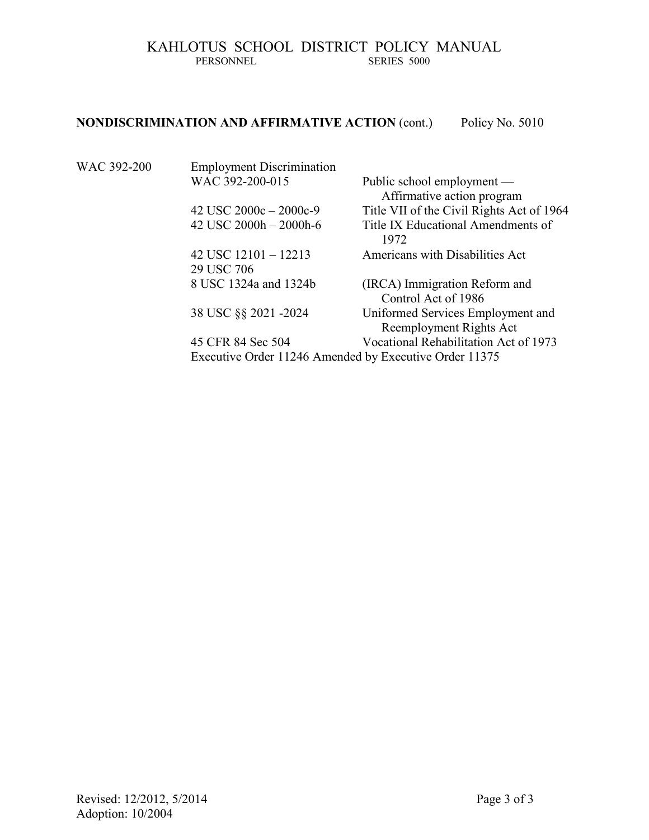### **NONDISCRIMINATION AND AFFIRMATIVE ACTION** (cont.) Policy No. 5010

| WAC 392-200 | <b>Employment Discrimination</b>     |                                                              |
|-------------|--------------------------------------|--------------------------------------------------------------|
|             | WAC 392-200-015                      | Public school employment —<br>Affirmative action program     |
|             | 42 USC $2000c - 2000c - 9$           | Title VII of the Civil Rights Act of 1964                    |
|             | 42 USC $2000h - 2000h - 6$           | Title IX Educational Amendments of<br>1972                   |
|             | 42 USC $12101 - 12213$<br>29 USC 706 | Americans with Disabilities Act                              |
|             | 8 USC 1324a and 1324b                | (IRCA) Immigration Reform and<br>Control Act of 1986         |
|             | 38 USC §§ 2021 -2024                 | Uniformed Services Employment and<br>Reemployment Rights Act |
|             | 45 CFR 84 Sec 504                    | Vocational Rehabilitation Act of 1973                        |
|             |                                      |                                                              |

Executive Order 11246 Amended by Executive Order 11375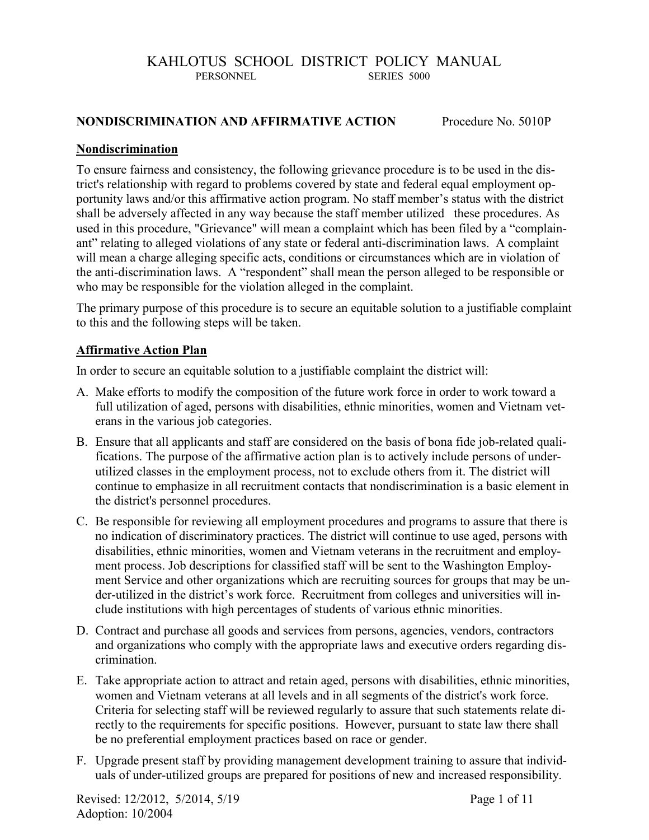#### **NONDISCRIMINATION AND AFFIRMATIVE ACTION** Procedure No. 5010P

#### **Nondiscrimination**

To ensure fairness and consistency, the following grievance procedure is to be used in the district's relationship with regard to problems covered by state and federal equal employment opportunity laws and/or this affirmative action program. No staff member's status with the district shall be adversely affected in any way because the staff member utilized these procedures. As used in this procedure, "Grievance" will mean a complaint which has been filed by a "complainant" relating to alleged violations of any state or federal anti-discrimination laws. A complaint will mean a charge alleging specific acts, conditions or circumstances which are in violation of the anti-discrimination laws. A "respondent" shall mean the person alleged to be responsible or who may be responsible for the violation alleged in the complaint.

The primary purpose of this procedure is to secure an equitable solution to a justifiable complaint to this and the following steps will be taken.

#### **Affirmative Action Plan**

In order to secure an equitable solution to a justifiable complaint the district will:

- A. Make efforts to modify the composition of the future work force in order to work toward a full utilization of aged, persons with disabilities, ethnic minorities, women and Vietnam veterans in the various job categories.
- B. Ensure that all applicants and staff are considered on the basis of bona fide job-related qualifications. The purpose of the affirmative action plan is to actively include persons of underutilized classes in the employment process, not to exclude others from it. The district will continue to emphasize in all recruitment contacts that nondiscrimination is a basic element in the district's personnel procedures.
- C. Be responsible for reviewing all employment procedures and programs to assure that there is no indication of discriminatory practices. The district will continue to use aged, persons with disabilities, ethnic minorities, women and Vietnam veterans in the recruitment and employment process. Job descriptions for classified staff will be sent to the Washington Employment Service and other organizations which are recruiting sources for groups that may be under-utilized in the district's work force. Recruitment from colleges and universities will include institutions with high percentages of students of various ethnic minorities.
- D. Contract and purchase all goods and services from persons, agencies, vendors, contractors and organizations who comply with the appropriate laws and executive orders regarding discrimination.
- E. Take appropriate action to attract and retain aged, persons with disabilities, ethnic minorities, women and Vietnam veterans at all levels and in all segments of the district's work force. Criteria for selecting staff will be reviewed regularly to assure that such statements relate directly to the requirements for specific positions. However, pursuant to state law there shall be no preferential employment practices based on race or gender.
- F. Upgrade present staff by providing management development training to assure that individuals of under-utilized groups are prepared for positions of new and increased responsibility.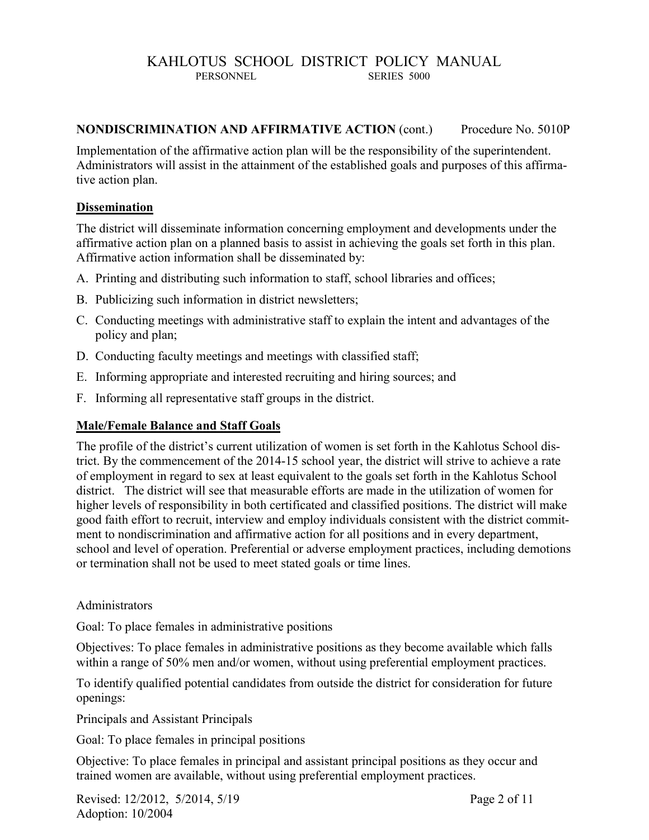#### **NONDISCRIMINATION AND AFFIRMATIVE ACTION** (cont.) Procedure No. 5010P

Implementation of the affirmative action plan will be the responsibility of the superintendent. Administrators will assist in the attainment of the established goals and purposes of this affirmative action plan.

#### **Dissemination**

The district will disseminate information concerning employment and developments under the affirmative action plan on a planned basis to assist in achieving the goals set forth in this plan. Affirmative action information shall be disseminated by:

- A. Printing and distributing such information to staff, school libraries and offices;
- B. Publicizing such information in district newsletters;
- C. Conducting meetings with administrative staff to explain the intent and advantages of the policy and plan;
- D. Conducting faculty meetings and meetings with classified staff;
- E. Informing appropriate and interested recruiting and hiring sources; and
- F. Informing all representative staff groups in the district.

#### **Male/Female Balance and Staff Goals**

The profile of the district's current utilization of women is set forth in the Kahlotus School district. By the commencement of the 2014-15 school year, the district will strive to achieve a rate of employment in regard to sex at least equivalent to the goals set forth in the Kahlotus School district. The district will see that measurable efforts are made in the utilization of women for higher levels of responsibility in both certificated and classified positions. The district will make good faith effort to recruit, interview and employ individuals consistent with the district commitment to nondiscrimination and affirmative action for all positions and in every department, school and level of operation. Preferential or adverse employment practices, including demotions or termination shall not be used to meet stated goals or time lines.

#### Administrators

Goal: To place females in administrative positions

Objectives: To place females in administrative positions as they become available which falls within a range of 50% men and/or women, without using preferential employment practices.

To identify qualified potential candidates from outside the district for consideration for future openings:

Principals and Assistant Principals

Goal: To place females in principal positions

Objective: To place females in principal and assistant principal positions as they occur and trained women are available, without using preferential employment practices.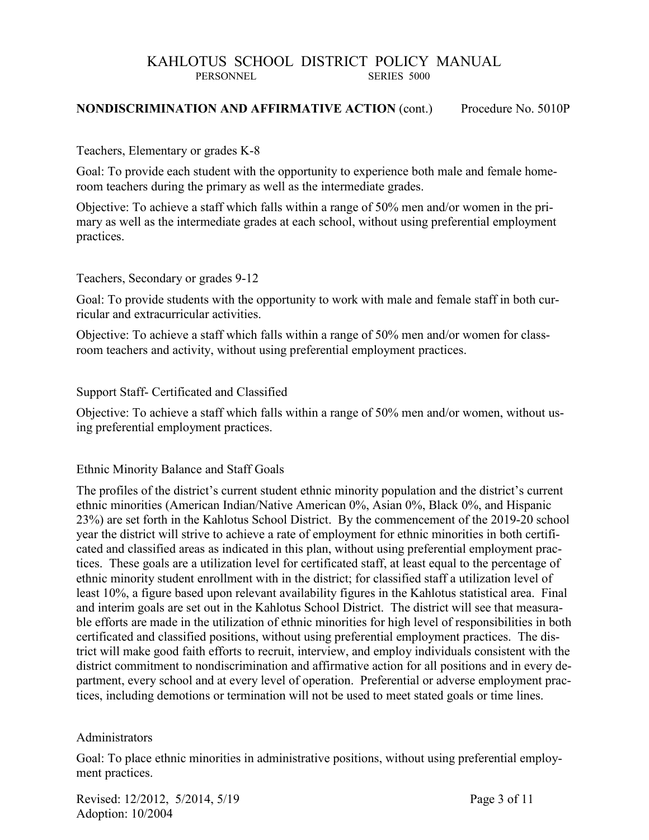#### **NONDISCRIMINATION AND AFFIRMATIVE ACTION** (cont.) Procedure No. 5010P

#### Teachers, Elementary or grades K-8

Goal: To provide each student with the opportunity to experience both male and female homeroom teachers during the primary as well as the intermediate grades.

Objective: To achieve a staff which falls within a range of 50% men and/or women in the primary as well as the intermediate grades at each school, without using preferential employment practices.

#### Teachers, Secondary or grades 9-12

Goal: To provide students with the opportunity to work with male and female staff in both curricular and extracurricular activities.

Objective: To achieve a staff which falls within a range of 50% men and/or women for classroom teachers and activity, without using preferential employment practices.

#### Support Staff- Certificated and Classified

Objective: To achieve a staff which falls within a range of 50% men and/or women, without using preferential employment practices.

#### Ethnic Minority Balance and Staff Goals

The profiles of the district's current student ethnic minority population and the district's current ethnic minorities (American Indian/Native American 0%, Asian 0%, Black 0%, and Hispanic 23%) are set forth in the Kahlotus School District. By the commencement of the 2019-20 school year the district will strive to achieve a rate of employment for ethnic minorities in both certificated and classified areas as indicated in this plan, without using preferential employment practices. These goals are a utilization level for certificated staff, at least equal to the percentage of ethnic minority student enrollment with in the district; for classified staff a utilization level of least 10%, a figure based upon relevant availability figures in the Kahlotus statistical area. Final and interim goals are set out in the Kahlotus School District. The district will see that measurable efforts are made in the utilization of ethnic minorities for high level of responsibilities in both certificated and classified positions, without using preferential employment practices. The district will make good faith efforts to recruit, interview, and employ individuals consistent with the district commitment to nondiscrimination and affirmative action for all positions and in every department, every school and at every level of operation. Preferential or adverse employment practices, including demotions or termination will not be used to meet stated goals or time lines.

#### Administrators

Goal: To place ethnic minorities in administrative positions, without using preferential employment practices.

Revised: 12/2012, 5/2014, 5/19 Page 3 of 11 Adoption: 10/2004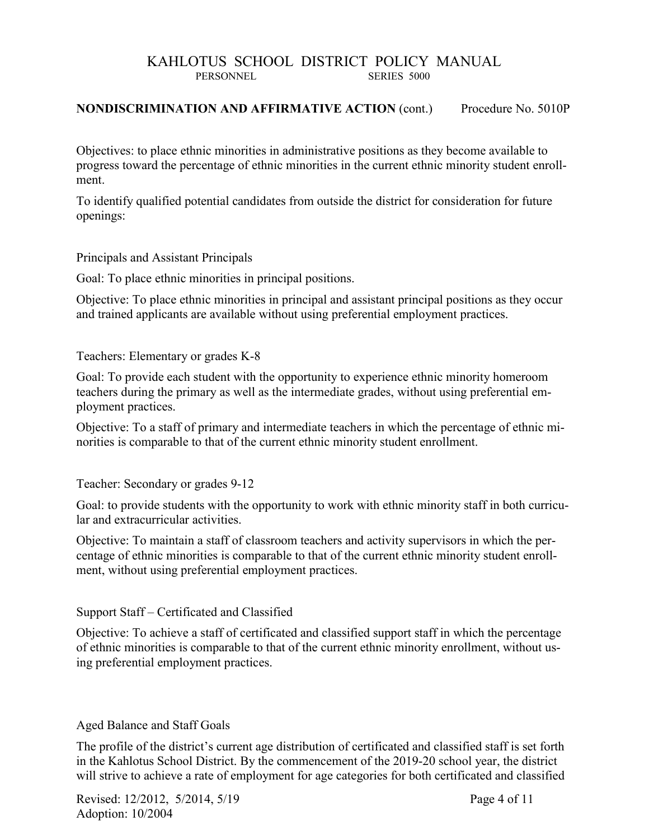#### **NONDISCRIMINATION AND AFFIRMATIVE ACTION** (cont.) Procedure No. 5010P

Objectives: to place ethnic minorities in administrative positions as they become available to progress toward the percentage of ethnic minorities in the current ethnic minority student enrollment.

To identify qualified potential candidates from outside the district for consideration for future openings:

Principals and Assistant Principals

Goal: To place ethnic minorities in principal positions.

Objective: To place ethnic minorities in principal and assistant principal positions as they occur and trained applicants are available without using preferential employment practices.

Teachers: Elementary or grades K-8

Goal: To provide each student with the opportunity to experience ethnic minority homeroom teachers during the primary as well as the intermediate grades, without using preferential employment practices.

Objective: To a staff of primary and intermediate teachers in which the percentage of ethnic minorities is comparable to that of the current ethnic minority student enrollment.

Teacher: Secondary or grades 9-12

Goal: to provide students with the opportunity to work with ethnic minority staff in both curricular and extracurricular activities.

Objective: To maintain a staff of classroom teachers and activity supervisors in which the percentage of ethnic minorities is comparable to that of the current ethnic minority student enrollment, without using preferential employment practices.

Support Staff – Certificated and Classified

Objective: To achieve a staff of certificated and classified support staff in which the percentage of ethnic minorities is comparable to that of the current ethnic minority enrollment, without using preferential employment practices.

#### Aged Balance and Staff Goals

The profile of the district's current age distribution of certificated and classified staff is set forth in the Kahlotus School District. By the commencement of the 2019-20 school year, the district will strive to achieve a rate of employment for age categories for both certificated and classified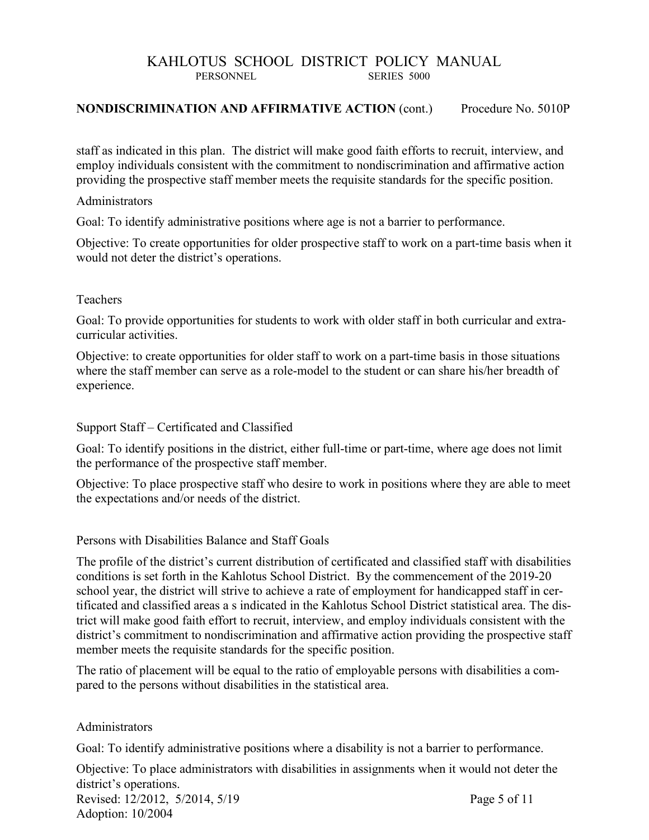#### **NONDISCRIMINATION AND AFFIRMATIVE ACTION** (cont.) Procedure No. 5010P

staff as indicated in this plan. The district will make good faith efforts to recruit, interview, and employ individuals consistent with the commitment to nondiscrimination and affirmative action providing the prospective staff member meets the requisite standards for the specific position.

#### Administrators

Goal: To identify administrative positions where age is not a barrier to performance.

Objective: To create opportunities for older prospective staff to work on a part-time basis when it would not deter the district's operations.

#### Teachers

Goal: To provide opportunities for students to work with older staff in both curricular and extracurricular activities.

Objective: to create opportunities for older staff to work on a part-time basis in those situations where the staff member can serve as a role-model to the student or can share his/her breadth of experience.

#### Support Staff – Certificated and Classified

Goal: To identify positions in the district, either full-time or part-time, where age does not limit the performance of the prospective staff member.

Objective: To place prospective staff who desire to work in positions where they are able to meet the expectations and/or needs of the district.

#### Persons with Disabilities Balance and Staff Goals

The profile of the district's current distribution of certificated and classified staff with disabilities conditions is set forth in the Kahlotus School District. By the commencement of the 2019-20 school year, the district will strive to achieve a rate of employment for handicapped staff in certificated and classified areas a s indicated in the Kahlotus School District statistical area. The district will make good faith effort to recruit, interview, and employ individuals consistent with the district's commitment to nondiscrimination and affirmative action providing the prospective staff member meets the requisite standards for the specific position.

The ratio of placement will be equal to the ratio of employable persons with disabilities a compared to the persons without disabilities in the statistical area.

#### Administrators

Goal: To identify administrative positions where a disability is not a barrier to performance.

Revised: 12/2012, 5/2014, 5/19 Page 5 of 11 Objective: To place administrators with disabilities in assignments when it would not deter the district's operations.

Adoption: 10/2004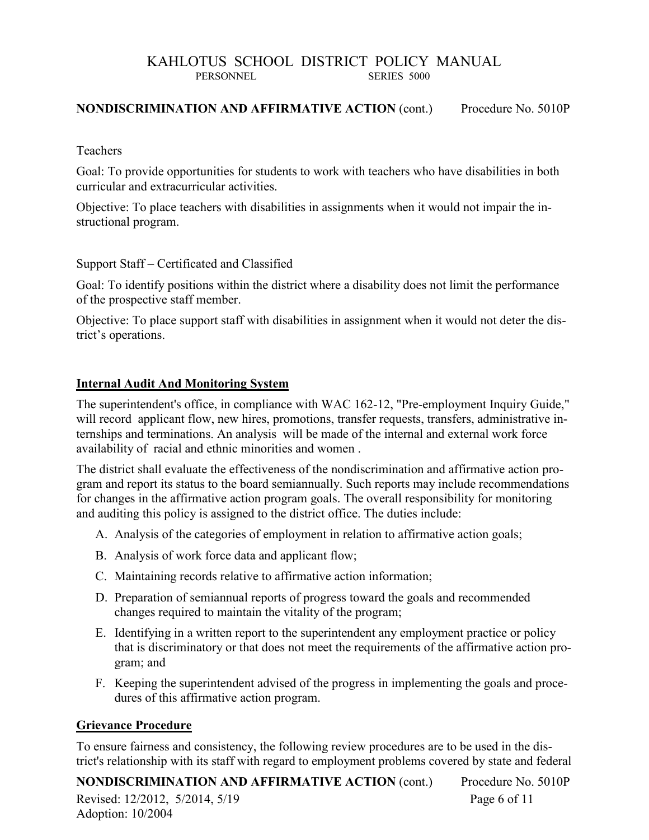#### **NONDISCRIMINATION AND AFFIRMATIVE ACTION** (cont.) Procedure No. 5010P

#### Teachers

Goal: To provide opportunities for students to work with teachers who have disabilities in both curricular and extracurricular activities.

Objective: To place teachers with disabilities in assignments when it would not impair the instructional program.

Support Staff – Certificated and Classified

Goal: To identify positions within the district where a disability does not limit the performance of the prospective staff member.

Objective: To place support staff with disabilities in assignment when it would not deter the district's operations.

#### **Internal Audit And Monitoring System**

The superintendent's office, in compliance with WAC 162-12, "Pre-employment Inquiry Guide," will record applicant flow, new hires, promotions, transfer requests, transfers, administrative internships and terminations. An analysis will be made of the internal and external work force availability of racial and ethnic minorities and women .

The district shall evaluate the effectiveness of the nondiscrimination and affirmative action program and report its status to the board semiannually. Such reports may include recommendations for changes in the affirmative action program goals. The overall responsibility for monitoring and auditing this policy is assigned to the district office. The duties include:

- A. Analysis of the categories of employment in relation to affirmative action goals;
- B. Analysis of work force data and applicant flow;
- C. Maintaining records relative to affirmative action information;
- D. Preparation of semiannual reports of progress toward the goals and recommended changes required to maintain the vitality of the program;
- E. Identifying in a written report to the superintendent any employment practice or policy that is discriminatory or that does not meet the requirements of the affirmative action program; and
- F. Keeping the superintendent advised of the progress in implementing the goals and procedures of this affirmative action program.

#### **Grievance Procedure**

To ensure fairness and consistency, the following review procedures are to be used in the district's relationship with its staff with regard to employment problems covered by state and federal

Revised: 12/2012, 5/2014, 5/19 Page 6 of 11 Adoption: 10/2004 **NONDISCRIMINATION AND AFFIRMATIVE ACTION** (cont.) Procedure No. 5010P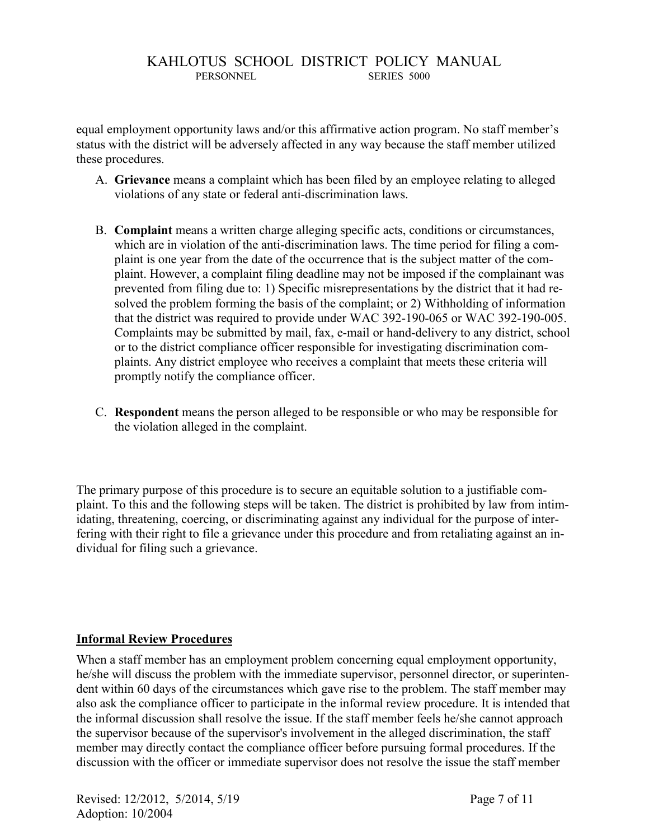equal employment opportunity laws and/or this affirmative action program. No staff member's status with the district will be adversely affected in any way because the staff member utilized these procedures.

- A. **Grievance** means a complaint which has been filed by an employee relating to alleged violations of any state or federal anti-discrimination laws.
- B. **Complaint** means a written charge alleging specific acts, conditions or circumstances, which are in violation of the anti-discrimination laws. The time period for filing a complaint is one year from the date of the occurrence that is the subject matter of the complaint. However, a complaint filing deadline may not be imposed if the complainant was prevented from filing due to: 1) Specific misrepresentations by the district that it had resolved the problem forming the basis of the complaint; or 2) Withholding of information that the district was required to provide under WAC 392-190-065 or WAC 392-190-005. Complaints may be submitted by mail, fax, e-mail or hand-delivery to any district, school or to the district compliance officer responsible for investigating discrimination complaints. Any district employee who receives a complaint that meets these criteria will promptly notify the compliance officer.
- C. **Respondent** means the person alleged to be responsible or who may be responsible for the violation alleged in the complaint.

The primary purpose of this procedure is to secure an equitable solution to a justifiable complaint. To this and the following steps will be taken. The district is prohibited by law from intimidating, threatening, coercing, or discriminating against any individual for the purpose of interfering with their right to file a grievance under this procedure and from retaliating against an individual for filing such a grievance.

#### **Informal Review Procedures**

When a staff member has an employment problem concerning equal employment opportunity, he/she will discuss the problem with the immediate supervisor, personnel director, or superintendent within 60 days of the circumstances which gave rise to the problem. The staff member may also ask the compliance officer to participate in the informal review procedure. It is intended that the informal discussion shall resolve the issue. If the staff member feels he/she cannot approach the supervisor because of the supervisor's involvement in the alleged discrimination, the staff member may directly contact the compliance officer before pursuing formal procedures. If the discussion with the officer or immediate supervisor does not resolve the issue the staff member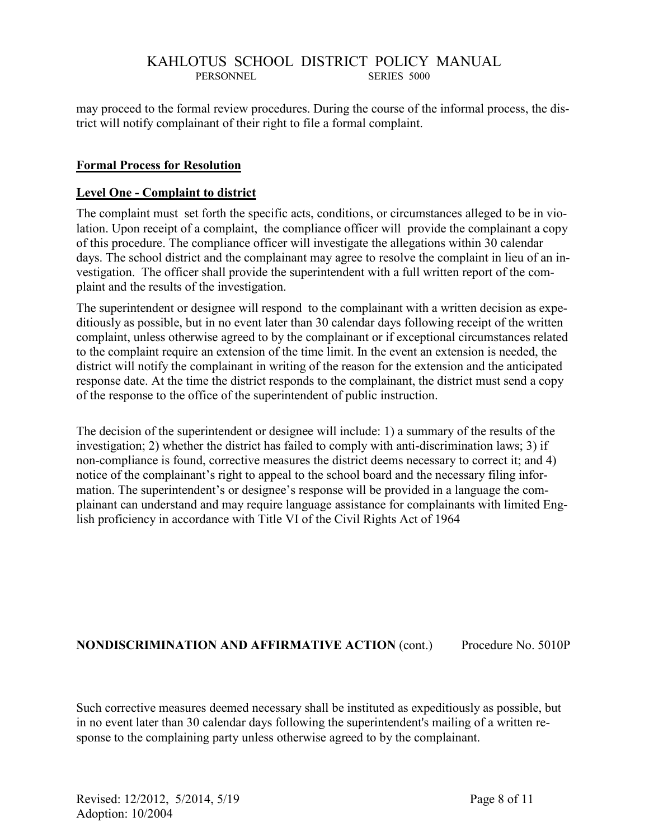may proceed to the formal review procedures. During the course of the informal process, the district will notify complainant of their right to file a formal complaint.

#### **Formal Process for Resolution**

#### **Level One - Complaint to district**

The complaint must set forth the specific acts, conditions, or circumstances alleged to be in violation. Upon receipt of a complaint, the compliance officer will provide the complainant a copy of this procedure. The compliance officer will investigate the allegations within 30 calendar days. The school district and the complainant may agree to resolve the complaint in lieu of an investigation. The officer shall provide the superintendent with a full written report of the complaint and the results of the investigation.

The superintendent or designee will respond to the complainant with a written decision as expeditiously as possible, but in no event later than 30 calendar days following receipt of the written complaint, unless otherwise agreed to by the complainant or if exceptional circumstances related to the complaint require an extension of the time limit. In the event an extension is needed, the district will notify the complainant in writing of the reason for the extension and the anticipated response date. At the time the district responds to the complainant, the district must send a copy of the response to the office of the superintendent of public instruction.

The decision of the superintendent or designee will include: 1) a summary of the results of the investigation; 2) whether the district has failed to comply with anti-discrimination laws; 3) if non-compliance is found, corrective measures the district deems necessary to correct it; and 4) notice of the complainant's right to appeal to the school board and the necessary filing information. The superintendent's or designee's response will be provided in a language the complainant can understand and may require language assistance for complainants with limited English proficiency in accordance with Title VI of the Civil Rights Act of 1964

#### **NONDISCRIMINATION AND AFFIRMATIVE ACTION** (cont.) Procedure No. 5010P

Such corrective measures deemed necessary shall be instituted as expeditiously as possible, but in no event later than 30 calendar days following the superintendent's mailing of a written response to the complaining party unless otherwise agreed to by the complainant.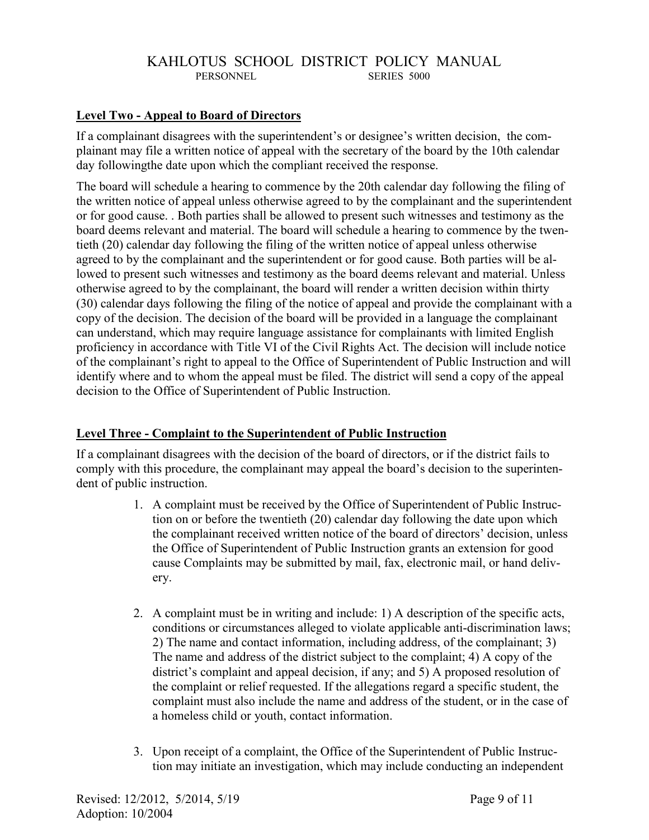#### **Level Two - Appeal to Board of Directors**

If a complainant disagrees with the superintendent's or designee's written decision, the complainant may file a written notice of appeal with the secretary of the board by the 10th calendar day followingthe date upon which the compliant received the response.

The board will schedule a hearing to commence by the 20th calendar day following the filing of the written notice of appeal unless otherwise agreed to by the complainant and the superintendent or for good cause. . Both parties shall be allowed to present such witnesses and testimony as the board deems relevant and material. The board will schedule a hearing to commence by the twentieth (20) calendar day following the filing of the written notice of appeal unless otherwise agreed to by the complainant and the superintendent or for good cause. Both parties will be allowed to present such witnesses and testimony as the board deems relevant and material. Unless otherwise agreed to by the complainant, the board will render a written decision within thirty (30) calendar days following the filing of the notice of appeal and provide the complainant with a copy of the decision. The decision of the board will be provided in a language the complainant can understand, which may require language assistance for complainants with limited English proficiency in accordance with Title VI of the Civil Rights Act. The decision will include notice of the complainant's right to appeal to the Office of Superintendent of Public Instruction and will identify where and to whom the appeal must be filed. The district will send a copy of the appeal decision to the Office of Superintendent of Public Instruction.

#### **Level Three - Complaint to the Superintendent of Public Instruction**

If a complainant disagrees with the decision of the board of directors, or if the district fails to comply with this procedure, the complainant may appeal the board's decision to the superintendent of public instruction.

- 1. A complaint must be received by the Office of Superintendent of Public Instruction on or before the twentieth (20) calendar day following the date upon which the complainant received written notice of the board of directors' decision, unless the Office of Superintendent of Public Instruction grants an extension for good cause Complaints may be submitted by mail, fax, electronic mail, or hand delivery.
- 2. A complaint must be in writing and include: 1) A description of the specific acts, conditions or circumstances alleged to violate applicable anti-discrimination laws; 2) The name and contact information, including address, of the complainant; 3) The name and address of the district subject to the complaint; 4) A copy of the district's complaint and appeal decision, if any; and 5) A proposed resolution of the complaint or relief requested. If the allegations regard a specific student, the complaint must also include the name and address of the student, or in the case of a homeless child or youth, contact information.
- 3. Upon receipt of a complaint, the Office of the Superintendent of Public Instruction may initiate an investigation, which may include conducting an independent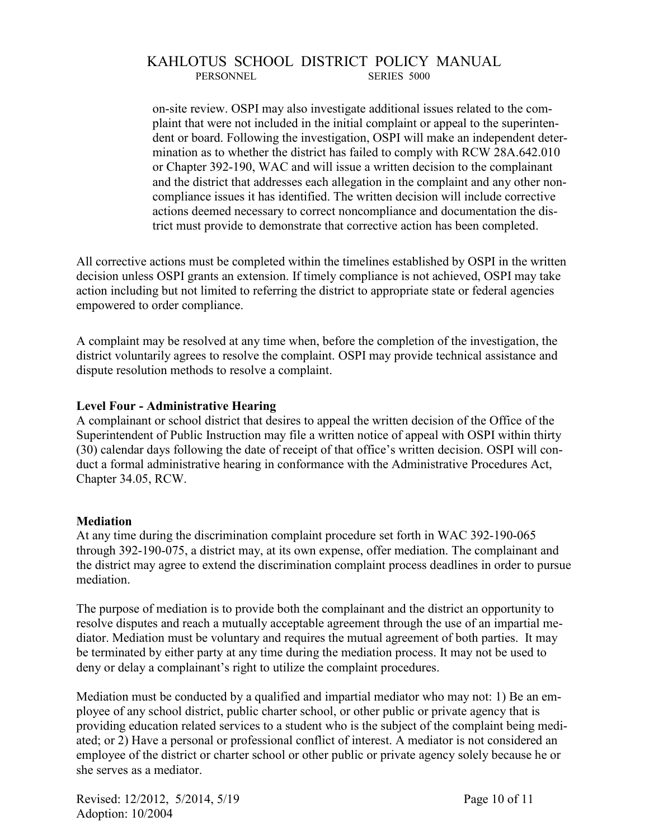on-site review. OSPI may also investigate additional issues related to the complaint that were not included in the initial complaint or appeal to the superintendent or board. Following the investigation, OSPI will make an independent determination as to whether the district has failed to comply with RCW 28A.642.010 or Chapter 392-190, WAC and will issue a written decision to the complainant and the district that addresses each allegation in the complaint and any other noncompliance issues it has identified. The written decision will include corrective actions deemed necessary to correct noncompliance and documentation the district must provide to demonstrate that corrective action has been completed.

All corrective actions must be completed within the timelines established by OSPI in the written decision unless OSPI grants an extension. If timely compliance is not achieved, OSPI may take action including but not limited to referring the district to appropriate state or federal agencies empowered to order compliance.

A complaint may be resolved at any time when, before the completion of the investigation, the district voluntarily agrees to resolve the complaint. OSPI may provide technical assistance and dispute resolution methods to resolve a complaint.

#### **Level Four - Administrative Hearing**

A complainant or school district that desires to appeal the written decision of the Office of the Superintendent of Public Instruction may file a written notice of appeal with OSPI within thirty (30) calendar days following the date of receipt of that office's written decision. OSPI will conduct a formal administrative hearing in conformance with the Administrative Procedures Act, Chapter 34.05, RCW.

#### **Mediation**

At any time during the discrimination complaint procedure set forth in WAC 392-190-065 through 392-190-075, a district may, at its own expense, offer mediation. The complainant and the district may agree to extend the discrimination complaint process deadlines in order to pursue mediation.

The purpose of mediation is to provide both the complainant and the district an opportunity to resolve disputes and reach a mutually acceptable agreement through the use of an impartial mediator. Mediation must be voluntary and requires the mutual agreement of both parties. It may be terminated by either party at any time during the mediation process. It may not be used to deny or delay a complainant's right to utilize the complaint procedures.

Mediation must be conducted by a qualified and impartial mediator who may not: 1) Be an employee of any school district, public charter school, or other public or private agency that is providing education related services to a student who is the subject of the complaint being mediated; or 2) Have a personal or professional conflict of interest. A mediator is not considered an employee of the district or charter school or other public or private agency solely because he or she serves as a mediator.